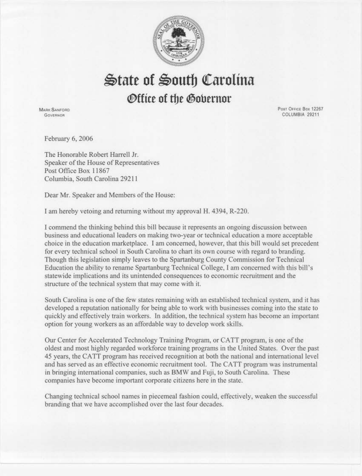

 $\&$ tate of  $\&$ outh Carolina

## ~ffice **of tbe @obernor**

**MARK SANFORD Governor** 

Post Office Box 12267 COLUMBIA 29211

February 6, 2006

The Honorable Robert Harrell Jr. Speaker of the House of Representatives Post Office Box 11867 Columbia, South Carolina 29211

Dear Mr. Speaker and Members of the House:

I am hereby vetoing and returning without my approval H. 4394, R-220.

I conunend the thinking behind this bill because it represents an ongoing discussion between business and educational leaders on making two-year or technical education a more acceptable choice in the education marketplace. I am concerned, however, that this bill would set precedent for every technical school in South Carolina to chart its own course with regard to branding. Though this legislation simply leaves to the Spartanburg County Commission for Technical Education the ability to rename Spartanburg Technical College, I am concerned with this bill's statewide implications and its unintended consequences to economic recruitment and the structure of the technical system that may come with it.

South Carolina is one of the few states remaining with an established technical system, and it has developed a reputation nationally for being able to work with businesses coming into the state to quickly and effectively train workers. In addition, the technical system has become an important option for young workers as an affordable way to develop work skills.

Our Center for Accelerated Technology Training Program, or CATT program, is one of the oldest and most highly regarded workforce training programs in the United States. Over the past 45 years, the CA TT program bas received recognition at both the national and international level and has served as an effective economic recruitment tool. The CATT program was instrumental in bringing international companies, such as BMW and Fuji, to South Carolina. These companies have become important corporate citizens here in the state.

Changing technical school names in piecemeal fashion could, effectively, weaken the successful branding that we have accomplished over the last four decades.